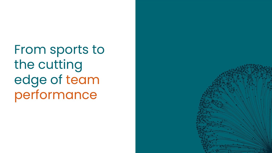From sports to the cutting edge of team performance

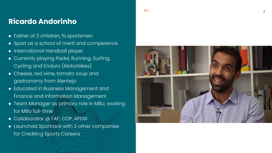Bio



### **Ricardo Andorinho**

- Father of 3 children, <sup>2</sup>/<sub>3</sub> sportsmen
- Sport as a school of merit and competence
- International Handball player
- Currently playing Padel, Running, Surfing, Cycling and Enduro (Motorbikes)
- Cheese, red wine, tomato soup and gastronomy from Alentejo
- Educated in Business Management and Finance and Information Management
- Team Manager as primary role in MBU, working for MBU full-time
- Collaborator @ FAP, COP, APDSI
- Launched Sportrack with 2 other companies for Crediting Sports Careers

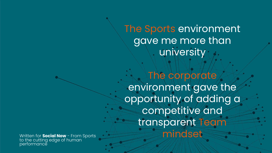The corporate environment gave the opportunity of adding a competitive and transparent Team Written for **Social Now** - From Sports<br>to the autting edge of bureau **Micheller** 

The Sports environment gave me more than university



to the cutting edge of human performance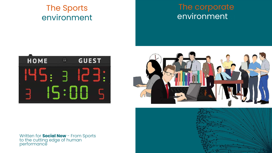### The Sports environment

### The corporate environment







Written for **Social Now** - From Sports to the cutting edge of human performance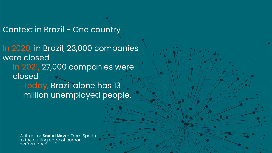### Context in Brazil - One country

In 2020, in Brazil, 23,000 companies were closed In 2021, 27,000 companies were closed Today, Brazil alone has 13 million unemployed people.

> Written for **Social Now** - From Sports to the cutting edge of human performance

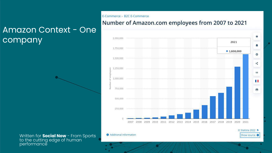

#### mation

### Amazon Context - One company

Written for **Social Now** - From Sports to the cutting edge of human performance

### E-Commerce > B2C E-Commerce Number of Amazon.com employees from 2007 to 2021

| Number | 2,000,000                                                                                                                                                                                                                                                                                                                                                                                                                                         |         |
|--------|---------------------------------------------------------------------------------------------------------------------------------------------------------------------------------------------------------------------------------------------------------------------------------------------------------------------------------------------------------------------------------------------------------------------------------------------------|---------|
|        | 1,750,000                                                                                                                                                                                                                                                                                                                                                                                                                                         |         |
|        | 1,500,000                                                                                                                                                                                                                                                                                                                                                                                                                                         |         |
|        |                                                                                                                                                                                                                                                                                                                                                                                                                                                   |         |
|        | $\begin{array}{ll}\n\text{9} & 1,250,000 \\ \text{9} & \\ \text{1} & \\ \text{5} & \\ \text{6} & \\ \text{7} & \\ \text{8} & \\ \text{9} & \\ \text{1} & \\ \text{1} & \\ \text{1} & \\ \text{1} & \\ \text{1} & \\ \text{1} & \\ \text{1} & \\ \text{1} & \\ \text{1} & \\ \text{1} & \\ \text{1} & \\ \text{1} & \\ \text{1} & \\ \text{1} & \\ \text{1} & \\ \text{1} & \\ \text{1} & \\ \text{1} & \\ \text{1} & \\ \text{1} & \\ \text{1} &$ |         |
|        | 750,000                                                                                                                                                                                                                                                                                                                                                                                                                                           |         |
|        | 500,000                                                                                                                                                                                                                                                                                                                                                                                                                                           |         |
|        | 250,000                                                                                                                                                                                                                                                                                                                                                                                                                                           |         |
|        | $\sigma$                                                                                                                                                                                                                                                                                                                                                                                                                                          | ×,<br>ÿ |
|        | Additional Infor                                                                                                                                                                                                                                                                                                                                                                                                                                  |         |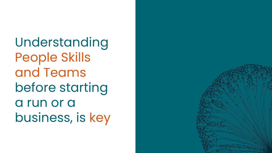Understanding People Skills and Teams before starting a run or a business, is key

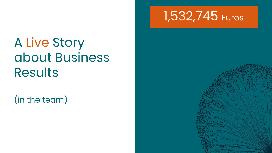

# A Live Story about Business Results

(in the team)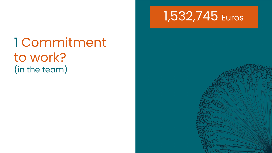

1 Commitment to work? (in the team)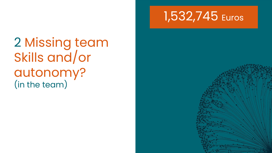

2 Missing team Skills and/or autonomy? (in the team)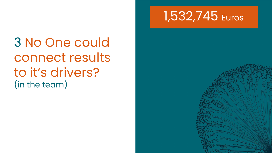

3 No One could connect results to it's drivers? (in the team)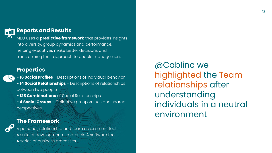

#### **Reports and Results**

MBU uses a **predictive framework** that provides insights into diversity, group dynamics and performance, helping executives make better decisions and transforming their approach to people management

#### **Properties**

**TH** 

 $\bullet$ 

- **16 Social Profiles** Descriptions of individual behavior **- 14 Social Relationships** - Descriptions of relationships between two people **- 128 Combinations** of Social Relationships
- **4 Social Groups** Collective group values and shared perspectives

#### **The Framework**

A personal, relationship and team assessment tool A suite of developmental materials A software tool A series of business processes

@Cablinc we highlighted the Team relationships after understanding individuals in a neutral environment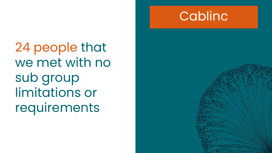



24 people that we met with no sub group limitations or requirements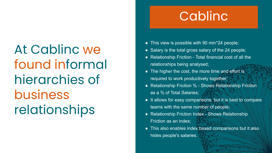At Cablinc we found informal hierarchies of business relationships

# Cablinc

- This view is possible with 90 min\*24 people;
- Salary is the total gross salary of the 24 people;
- Relationship Friction Total financial cost of all the relationships being analysed;
- The higher the cost, the more time and effort is required to work productively together;
- Relationship Friction % Shows Relationship Friction as a % of Total Salaries;
- It allows for easy comparisons, but it is best to compare teams with the same number of people;
- Relationship Friction Index Shows Relationship Friction as an index;
- This also enables index based comparisons but it also hides people's salaries.

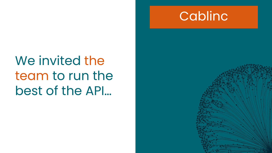



We invited the team to run the best of the API…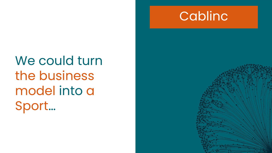



We could turn the business model into a Sport…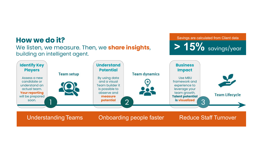### **How we do it?**

building an intelligent agent.



Understanding Teams Chboarding people faster | Reduce Staff Turnover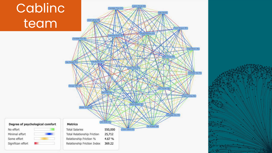# Cablinc team

### Janet Labrow 4 To Lashanda Kumar 1 Candidate Four 45 h Gall Rhodes 2Se Ajay Sangita 2Fe  $\sim$ George Tuffin SNe Sam Shah 3N Rohan Turner 4Si John Smith 3Te **Metrics**

Candidate Three 2Fe

#### Degree of psychological comfort

No effort Minimal effort Some effort Significan effort



| <b>Total Salaries</b>       | 550,000 |
|-----------------------------|---------|
| Total Relationship Friction | 25,712  |
| Relationship Friction %     | 4.67 %  |
| Relationship Friction Index | 369.22  |



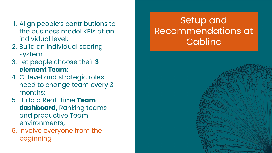### Setup and Recommendations at Cablinc





- 1. Align people's contributions to the business model KPIs at an individual level;
- 2. Build an individual scoring system
- 3. Let people choose their **3 element Team**;
- 4. C-level and strategic roles need to change team every 3 months;
- 5. Build a Real-Time **Team dashboard,** Ranking teams and productive Team environments;
- 6. Involve everyone from the beginning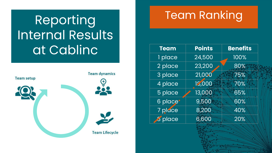# Reporting Internal Results at Cablinc



## Team Ranking

| <b>Team</b> | <b>Points</b> | <b>Benefits</b> |
|-------------|---------------|-----------------|
| 1 place     | 24,500        | 100%            |
| 2 place     | 23,200        | 80%             |
| 3 place     | 21,000        | 75%             |
| 4 place     | 15,000        | 70%             |
| 5 place     | 13,000        | 65%             |
| 6 place*    | 9,500         | 60%             |
| 7 pluce     | 8,200         | 40%             |
| 3 place     | 6,600         | 20%             |